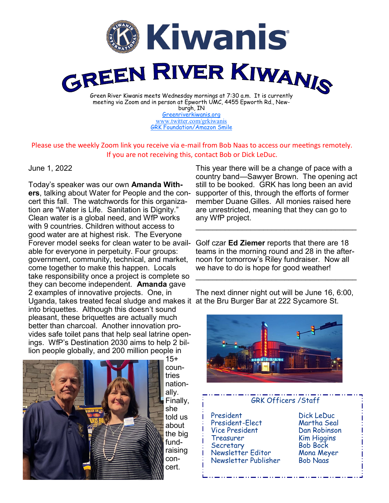

[Greenriverkiwanis.org](http://greenriverkiwanis.org/default.aspx) [www.twitter.com/grkiwanis](http://www.twitter.com/grkiwanis) [GRK Foundation/Amazon Smile](https://smile.amazon.com/ch/81-0946403)

## Please use the weekly Zoom link you receive via e-mail from Bob Naas to access our meetings remotely. If you are not receiving this, contact Bob or Dick LeDuc.

## June 1, 2022

Today's speaker was our own **Amanda Withers**, talking about Water for People and the concert this fall. The watchwords for this organization are "Water is Life. Sanitation is Dignity." Clean water is a global need, and WfP works with 9 countries. Children without access to good water are at highest risk. The Everyone Forever model seeks for clean water to be available for everyone in perpetuity. Four groups: government, community, technical, and market, come together to make this happen. Locals take responsibility once a project is complete so they can become independent. **Amanda** gave 2 examples of innovative projects. One, in Uganda, takes treated fecal sludge and makes it at the Bru Burger Bar at 222 Sycamore St. into briquettes. Although this doesn't sound pleasant, these briquettes are actually much better than charcoal. Another innovation provides safe toilet pans that help seal latrine openings. WfP's Destination 2030 aims to help 2 billion people globally, and 200 million people in



 $15+$ countries nationally. Finally, she told us about the big fundraising concert.

This year there will be a change of pace with a country band—Sawyer Brown. The opening act still to be booked. GRK has long been an avid supporter of this, through the efforts of former member Duane Gilles. All monies raised here are unrestricted, meaning that they can go to any WfP project.

Golf czar **Ed Ziemer** reports that there are 18 teams in the morning round and 28 in the afternoon for tomorrow's Riley fundraiser. Now all we have to do is hope for good weather! \_\_\_\_\_\_\_\_\_\_\_\_\_\_\_\_\_\_\_\_\_\_\_\_\_\_\_\_\_\_\_\_\_\_\_\_\_\_

\_\_\_\_\_\_\_\_\_\_\_\_\_\_\_\_\_\_\_\_\_\_\_\_\_\_\_\_\_\_\_\_\_\_\_\_\_\_

The next dinner night out will be June 16, 6:00,



## GRK Officers /Staff President Dick LeDuc President-Elect Vice President Dan Robinson Treasurer Kim Higgins Secretary Bob Bock Newsletter Editor Mona Meyer Newsletter Publisher Bob Naas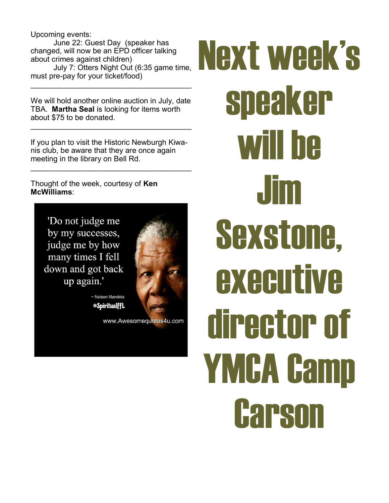Upcoming events: June 22: Guest Day (speaker has changed, will now be an EPD officer talking about crimes against children) July 7: Otters Night Out (6:35 game time, must pre-pay for your ticket/food)

We will hold another online auction in July, date TBA. **Martha Seal** is looking for items worth about \$75 to be donated.

 $\mathcal{L}_\text{max}$  , and the set of the set of the set of the set of the set of the set of the set of the set of the set of the set of the set of the set of the set of the set of the set of the set of the set of the set of the

 $\mathcal{L}_\text{max}$  , and the set of the set of the set of the set of the set of the set of the set of the set of the set of the set of the set of the set of the set of the set of the set of the set of the set of the set of the

If you plan to visit the Historic Newburgh Kiwanis club, be aware that they are once again meeting in the library on Bell Rd.

\_\_\_\_\_\_\_\_\_\_\_\_\_\_\_\_\_\_\_\_\_\_\_\_\_\_\_\_\_\_\_\_\_\_\_\_\_\_

Thought of the week, courtesy of **Ken McWilliams**:

> 'Do not judge me by my successes, judge me by how many times I fell down and got back up again.'



~ Nelson Mandela #SpiritualffL

www.Awesomequotes4u.com

## Next week's speaker will be Jim Sexstone, **executive** director of YMCA Camp **Carson**